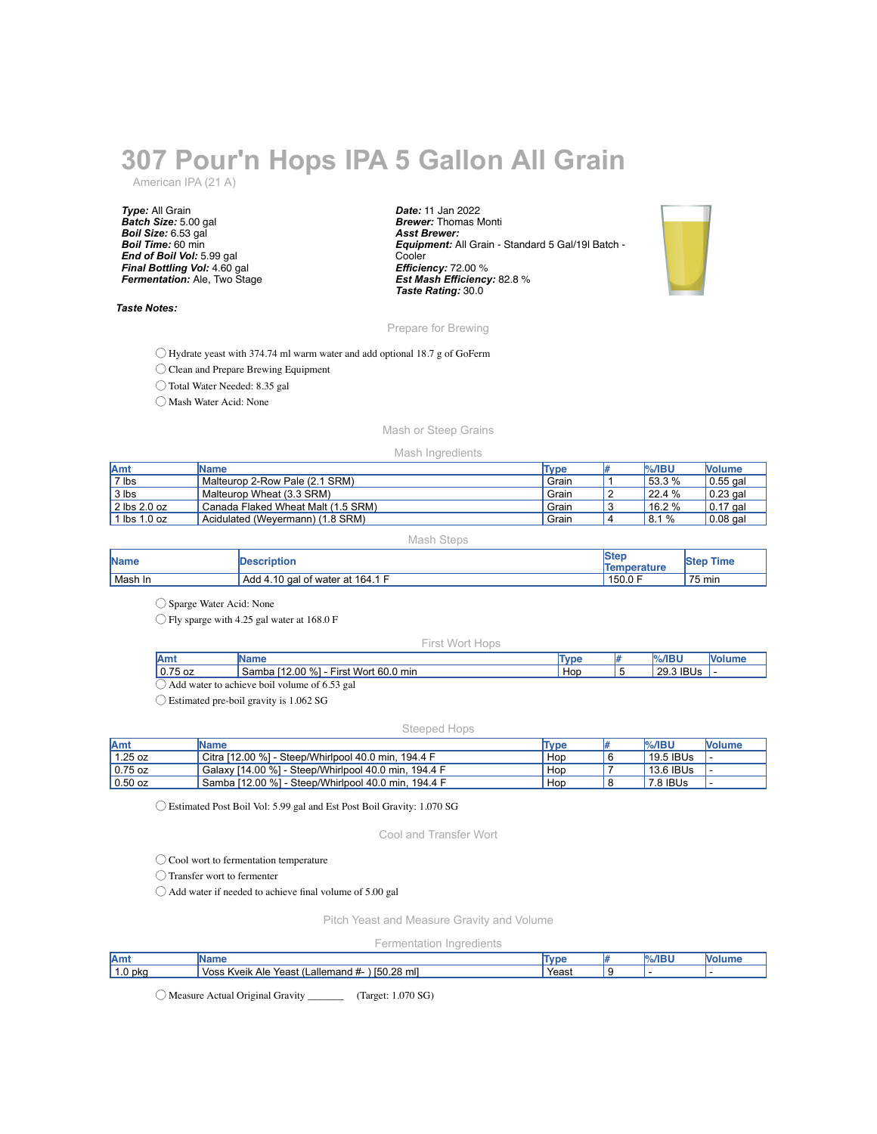# **307 Pour'n Hops IPA 5 Gallon All Grain**

American IPA (21 A)

*Type:* All Grain *Batch Size:* 5.00 gal *Boil Size:* 6.53 gal *Boil Time:* 60 min *End of Boil Vol:* 5.99 gal *Final Bottling Vol:* 4.60 gal *Fermentation:* Ale, Two Stage

## *Taste Notes:*

*Date:* 11 Jan 2022 *Brewer:* Thomas Monti *Asst Brewer: Equipment:* All Grain - Standard 5 Gal/19l Batch - **Cooler** *Efficiency:* 72.00 % *Est Mash Efficiency:* 82.8 % *Taste Rating:* 30.0



# Prepare for Brewing

◯ Hydrate yeast with 374.74 ml warm water and add optional 18.7 g of GoFerm

◯ Clean and Prepare Brewing Equipment

◯ Total Water Needed: 8.35 gal

◯ Mash Water Acid: None

# Mash or Steep Grains

### Mash Ingredients

| <b>IAmt</b>           | Name                               | Type  | $%$ /IBU | <b>Nolume</b>    |
|-----------------------|------------------------------------|-------|----------|------------------|
| 7 lbs                 | Malteuron 2-Row Pale (2.1 SRM)     | Grain | 53.3%    | 0.55 gal         |
| 3 lbs                 | Malteurop Wheat (3.3 SRM)          | Grain | 22.4%    | $\vert$ 0.23 gal |
| 2 lbs 2.0 oz          | Canada Flaked Wheat Malt (1.5 SRM) | Grain | 16.2 %   | $10.17$ gal      |
| $\mathsf{lbs}$ 1.0 oz | Acidulated (Wevermann) (1.8 SRM)   | Grain | 8.1%     | $0.08$ gal       |

#### Mash Steps

| <b>Name</b> | <b>IDescription</b>              | <b>Ster</b><br>Temperature | Time<br><b>Step</b> |
|-------------|----------------------------------|----------------------------|---------------------|
| Mash In     | Add 4.10 gal of water at 164.1 F | 150.0 F                    | 75 min              |

◯ Sparge Water Acid: None

◯ Fly sparge with 4.25 gal water at 168.0 F

#### First Wort Hops

| Amt       | <b>IName</b>                               | Type | $%$ /IBU  | <b>Volume</b> |
|-----------|--------------------------------------------|------|-----------|---------------|
| $0.75$ oz | Samba [12.00 %]<br>First Wort 60.0 min     | Hop  | 29.3 IBUs |               |
| Add       | d water to achieve boil volume of 6.53 gal |      |           |               |

◯ Estimated pre-boil gravity is 1.062 SG

#### Steeped Hops

| <b>Amt</b> | <b>IName</b>                                         | Type | $\frac{9}{6}$ /IBU | <b>Nolume</b> |
|------------|------------------------------------------------------|------|--------------------|---------------|
| 1.25 oz    | Citra [12.00 %] - Steep/Whirlpool 40.0 min. 194.4 F  | Hop  | $19.5$ IBUs        |               |
| $0.75$ oz  | Galaxy [14.00 %] - Steep/Whirlpool 40.0 min, 194.4 F | Hop  | 13.6 IBUs          |               |
| $0.50$ oz  | Samba [12.00 %] - Steep/Whirlpool 40.0 min, 194.4 F  | Hop  | 7.8 IBUs           |               |

◯ Estimated Post Boil Vol: 5.99 gal and Est Post Boil Gravity: 1.070 SG

Cool and Transfer Wort

◯ Cool wort to fermentation temperature

◯ Transfer wort to fermenter

◯ Add water if needed to achieve final volume of 5.00 gal

Pitch Yeast and Measure Gravity and Volume

# Fermentation Ingredients

| Amt     | 'Name                                                                                                        | Tvn   | ABH |  |
|---------|--------------------------------------------------------------------------------------------------------------|-------|-----|--|
| 1.0 pka | mll<br>).28<br><b>IEC</b><br><b>Voss</b><br>-allema <sup>.</sup><br>Kveik<br>Ale<br>Yeast<br>mand<br>.<br>юu | Yeast |     |  |

◯ Measure Actual Original Gravity \_\_\_\_\_\_\_ (Target: 1.070 SG)